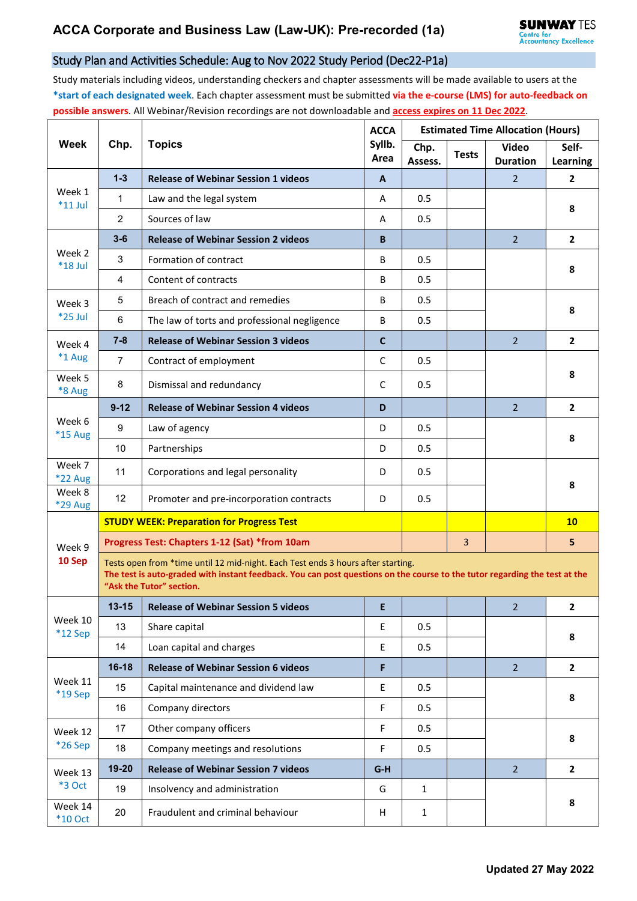## Study Plan and Activities Schedule: Aug to Nov 2022 Study Period (Dec22-P1a)

Study materials including videos, understanding checkers and chapter assessments will be made available to users at the **\*start of each designated week**. Each chapter assessment must be submitted **via the e-course (LMS) for auto-feedback on possible answers**. All Webinar/Revision recordings are not downloadable and **access expires on 11 Dec 2022**.

| <b>Week</b>              | Chp.                                                                                                                                                                                                                                       | <b>Topics</b>                                | <b>ACCA</b><br>Syllb.<br>Area | <b>Estimated Time Allocation (Hours)</b>                |                |                                 |                   |  |  |
|--------------------------|--------------------------------------------------------------------------------------------------------------------------------------------------------------------------------------------------------------------------------------------|----------------------------------------------|-------------------------------|---------------------------------------------------------|----------------|---------------------------------|-------------------|--|--|
|                          |                                                                                                                                                                                                                                            |                                              |                               | Chp.<br>Assess.                                         | <b>Tests</b>   | <b>Video</b><br><b>Duration</b> | Self-<br>Learning |  |  |
| Week 1<br>$*11$ Jul      | $1 - 3$                                                                                                                                                                                                                                    | <b>Release of Webinar Session 1 videos</b>   | A                             |                                                         |                | $\overline{2}$                  | $\mathbf{2}$      |  |  |
|                          | 1                                                                                                                                                                                                                                          | Law and the legal system                     | A                             | 0.5                                                     |                |                                 | 8                 |  |  |
|                          | $\overline{2}$                                                                                                                                                                                                                             | Sources of law                               | A                             | 0.5                                                     |                |                                 |                   |  |  |
| Week 2<br>$*18$ Jul      | $3 - 6$                                                                                                                                                                                                                                    | <b>Release of Webinar Session 2 videos</b>   | B                             |                                                         |                | $\overline{2}$                  | $\overline{2}$    |  |  |
|                          | 3                                                                                                                                                                                                                                          | Formation of contract                        | B                             | 0.5                                                     |                |                                 | 8                 |  |  |
|                          | 4                                                                                                                                                                                                                                          | Content of contracts                         | B                             | 0.5                                                     |                |                                 |                   |  |  |
| Week 3<br>*25 Jul        | 5                                                                                                                                                                                                                                          | Breach of contract and remedies              | B                             | 0.5                                                     |                |                                 | 8                 |  |  |
|                          | 6                                                                                                                                                                                                                                          | The law of torts and professional negligence | B                             | 0.5                                                     |                |                                 |                   |  |  |
| Week 4<br>*1 Aug         | $7 - 8$                                                                                                                                                                                                                                    | <b>Release of Webinar Session 3 videos</b>   | $\mathbf c$                   |                                                         |                | $\overline{2}$                  | $\mathbf{2}$      |  |  |
|                          | $\overline{7}$                                                                                                                                                                                                                             | Contract of employment                       | $\mathsf{C}$                  | 0.5                                                     |                |                                 |                   |  |  |
| Week 5<br>*8 Aug         | 8                                                                                                                                                                                                                                          | Dismissal and redundancy                     | C                             | 0.5                                                     |                |                                 | 8                 |  |  |
| Week 6<br>*15 Aug        | $9 - 12$                                                                                                                                                                                                                                   | <b>Release of Webinar Session 4 videos</b>   | D                             |                                                         |                | $\overline{2}$                  | $\overline{2}$    |  |  |
|                          | 9                                                                                                                                                                                                                                          | Law of agency                                | D                             | 0.5                                                     |                |                                 | 8                 |  |  |
|                          | 10                                                                                                                                                                                                                                         | Partnerships                                 | D                             | 0.5                                                     |                |                                 |                   |  |  |
| Week 7<br><b>*22 Aug</b> | 11                                                                                                                                                                                                                                         | Corporations and legal personality           | D                             | 0.5                                                     |                |                                 |                   |  |  |
| Week 8<br>*29 Aug        | 12                                                                                                                                                                                                                                         | Promoter and pre-incorporation contracts     | D                             | 0.5                                                     |                |                                 | 8                 |  |  |
|                          | <b>STUDY WEEK: Preparation for Progress Test</b>                                                                                                                                                                                           |                                              |                               |                                                         |                |                                 | 10                |  |  |
| Week 9<br>10 Sep         | Progress Test: Chapters 1-12 (Sat) *from 10am                                                                                                                                                                                              |                                              |                               |                                                         | $\overline{3}$ |                                 | 5                 |  |  |
|                          | Tests open from *time until 12 mid-night. Each Test ends 3 hours after starting.<br>The test is auto-graded with instant feedback. You can post questions on the course to the tutor regarding the test at the<br>"Ask the Tutor" section. |                                              |                               |                                                         |                |                                 |                   |  |  |
| Week 10<br>$*12$ Sep     | $13 - 15$                                                                                                                                                                                                                                  | <b>Release of Webinar Session 5 videos</b>   | E                             | <u> 1986 - Johann Barnett, fransk politik (d. 1986)</u> |                | $\overline{2}$                  | $\overline{2}$    |  |  |
|                          | 13                                                                                                                                                                                                                                         | Share capital                                | E.                            | 0.5                                                     |                |                                 | 8                 |  |  |
|                          | 14                                                                                                                                                                                                                                         | Loan capital and charges                     | $\mathsf E$                   | 0.5                                                     |                |                                 |                   |  |  |
| Week 11<br>*19 Sep       | $16-18$                                                                                                                                                                                                                                    | <b>Release of Webinar Session 6 videos</b>   | F                             |                                                         |                | $\overline{2}$                  | $\overline{2}$    |  |  |
|                          | 15                                                                                                                                                                                                                                         | Capital maintenance and dividend law         | E                             | 0.5                                                     |                |                                 | 8                 |  |  |
|                          | 16                                                                                                                                                                                                                                         | Company directors                            | F                             | 0.5                                                     |                |                                 |                   |  |  |
| Week 12<br>*26 Sep       | 17                                                                                                                                                                                                                                         | Other company officers                       | $\mathsf F$                   | 0.5                                                     |                |                                 | 8                 |  |  |
|                          | 18                                                                                                                                                                                                                                         | Company meetings and resolutions             | F                             | 0.5                                                     |                |                                 |                   |  |  |
| Week 13<br>*3 Oct        | 19-20                                                                                                                                                                                                                                      | <b>Release of Webinar Session 7 videos</b>   | $G-H$                         |                                                         |                | $\overline{2}$                  | $\overline{2}$    |  |  |
|                          | 19                                                                                                                                                                                                                                         | Insolvency and administration                | G                             | $\mathbf{1}$                                            |                |                                 |                   |  |  |
| Week 14<br>$*10$ Oct     | 20                                                                                                                                                                                                                                         | Fraudulent and criminal behaviour            | H                             | $\mathbf{1}$                                            |                |                                 | 8                 |  |  |